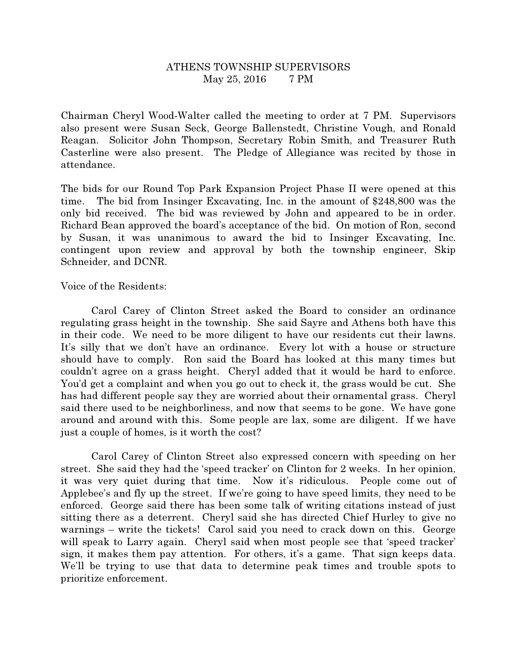## ATHENS TOWNSHIP SUPERVISORS May 25, 2016 7 PM

Chairman Cheryl Wood-Walter called the meeting to order at 7 PM. Supervisors also present were Susan Seck, George Ballenstedt, Christine Vough, and Ronald Reagan. Solicitor John Thompson, Secretary Robin Smith, and Treasurer Ruth Casterline were also present. The Pledge of Allegiance was recited by those in attendance.

The bids for our Round Top Park Expansion Project Phase II were opened at this time. The bid from Insinger Excavating, Inc. in the amount of \$248,800 was the only bid received. The bid was reviewed by John and appeared to be in order. Richard Bean approved the board's acceptance of the bid. On motion of Ron, second by Susan, it was unanimous to award the bid to Insinger Excavating, Inc. contingent upon review and approval by both the township engineer, Skip Schneider, and DCNR.

Voice of the Residents:

 Carol Carey of Clinton Street asked the Board to consider an ordinance regulating grass height in the township. She said Sayre and Athens both have this in their code. We need to be more diligent to have our residents cut their lawns. It's silly that we don't have an ordinance. Every lot with a house or structure should have to comply. Ron said the Board has looked at this many times but couldn't agree on a grass height. Cheryl added that it would be hard to enforce. You'd get a complaint and when you go out to check it, the grass would be cut. She has had different people say they are worried about their ornamental grass. Cheryl said there used to be neighborliness, and now that seems to be gone. We have gone around and around with this. Some people are lax, some are diligent. If we have just a couple of homes, is it worth the cost?

 Carol Carey of Clinton Street also expressed concern with speeding on her street. She said they had the 'speed tracker' on Clinton for 2 weeks. In her opinion, it was very quiet during that time. Now it's ridiculous. People come out of Applebee's and fly up the street. If we're going to have speed limits, they need to be enforced. George said there has been some talk of writing citations instead of just sitting there as a deterrent. Cheryl said she has directed Chief Hurley to give no warnings – write the tickets! Carol said you need to crack down on this. George will speak to Larry again. Cheryl said when most people see that 'speed tracker' sign, it makes them pay attention. For others, it's a game. That sign keeps data. We'll be trying to use that data to determine peak times and trouble spots to prioritize enforcement.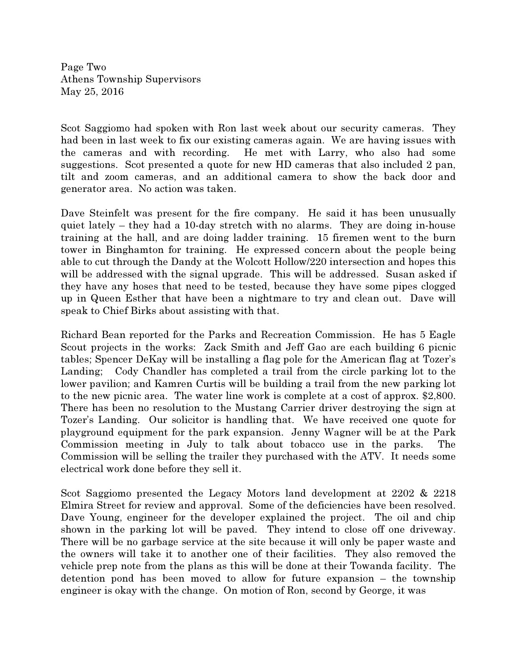Page Two Athens Township Supervisors May 25, 2016

Scot Saggiomo had spoken with Ron last week about our security cameras. They had been in last week to fix our existing cameras again. We are having issues with the cameras and with recording. He met with Larry, who also had some suggestions. Scot presented a quote for new HD cameras that also included 2 pan, tilt and zoom cameras, and an additional camera to show the back door and generator area. No action was taken.

Dave Steinfelt was present for the fire company. He said it has been unusually quiet lately – they had a 10-day stretch with no alarms. They are doing in-house training at the hall, and are doing ladder training. 15 firemen went to the burn tower in Binghamton for training. He expressed concern about the people being able to cut through the Dandy at the Wolcott Hollow/220 intersection and hopes this will be addressed with the signal upgrade. This will be addressed. Susan asked if they have any hoses that need to be tested, because they have some pipes clogged up in Queen Esther that have been a nightmare to try and clean out. Dave will speak to Chief Birks about assisting with that.

Richard Bean reported for the Parks and Recreation Commission. He has 5 Eagle Scout projects in the works: Zack Smith and Jeff Gao are each building 6 picnic tables; Spencer DeKay will be installing a flag pole for the American flag at Tozer's Landing; Cody Chandler has completed a trail from the circle parking lot to the lower pavilion; and Kamren Curtis will be building a trail from the new parking lot to the new picnic area. The water line work is complete at a cost of approx. \$2,800. There has been no resolution to the Mustang Carrier driver destroying the sign at Tozer's Landing. Our solicitor is handling that. We have received one quote for playground equipment for the park expansion. Jenny Wagner will be at the Park Commission meeting in July to talk about tobacco use in the parks. The Commission will be selling the trailer they purchased with the ATV. It needs some electrical work done before they sell it.

Scot Saggiomo presented the Legacy Motors land development at 2202 & 2218 Elmira Street for review and approval. Some of the deficiencies have been resolved. Dave Young, engineer for the developer explained the project. The oil and chip shown in the parking lot will be paved. They intend to close off one driveway. There will be no garbage service at the site because it will only be paper waste and the owners will take it to another one of their facilities. They also removed the vehicle prep note from the plans as this will be done at their Towanda facility. The detention pond has been moved to allow for future expansion – the township engineer is okay with the change. On motion of Ron, second by George, it was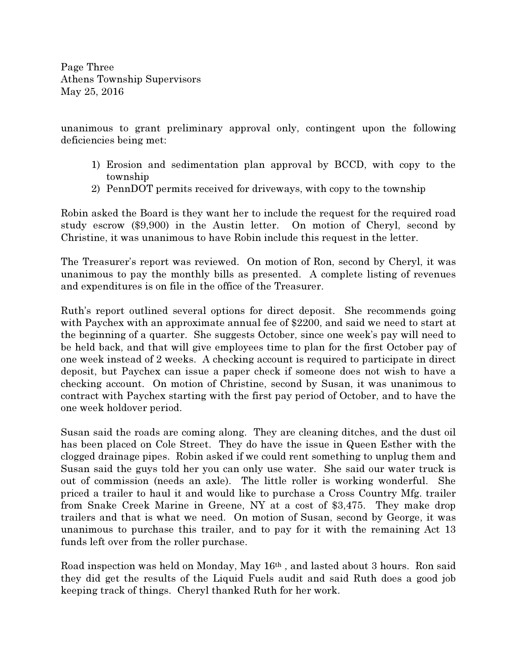Page Three Athens Township Supervisors May 25, 2016

unanimous to grant preliminary approval only, contingent upon the following deficiencies being met:

- 1) Erosion and sedimentation plan approval by BCCD, with copy to the township
- 2) PennDOT permits received for driveways, with copy to the township

Robin asked the Board is they want her to include the request for the required road study escrow (\$9,900) in the Austin letter. On motion of Cheryl, second by Christine, it was unanimous to have Robin include this request in the letter.

The Treasurer's report was reviewed. On motion of Ron, second by Cheryl, it was unanimous to pay the monthly bills as presented. A complete listing of revenues and expenditures is on file in the office of the Treasurer.

Ruth's report outlined several options for direct deposit. She recommends going with Paychex with an approximate annual fee of \$2200, and said we need to start at the beginning of a quarter. She suggests October, since one week's pay will need to be held back, and that will give employees time to plan for the first October pay of one week instead of 2 weeks. A checking account is required to participate in direct deposit, but Paychex can issue a paper check if someone does not wish to have a checking account. On motion of Christine, second by Susan, it was unanimous to contract with Paychex starting with the first pay period of October, and to have the one week holdover period.

Susan said the roads are coming along. They are cleaning ditches, and the dust oil has been placed on Cole Street. They do have the issue in Queen Esther with the clogged drainage pipes. Robin asked if we could rent something to unplug them and Susan said the guys told her you can only use water. She said our water truck is out of commission (needs an axle). The little roller is working wonderful. She priced a trailer to haul it and would like to purchase a Cross Country Mfg. trailer from Snake Creek Marine in Greene, NY at a cost of \$3,475. They make drop trailers and that is what we need. On motion of Susan, second by George, it was unanimous to purchase this trailer, and to pay for it with the remaining Act 13 funds left over from the roller purchase.

Road inspection was held on Monday, May 16th , and lasted about 3 hours. Ron said they did get the results of the Liquid Fuels audit and said Ruth does a good job keeping track of things. Cheryl thanked Ruth for her work.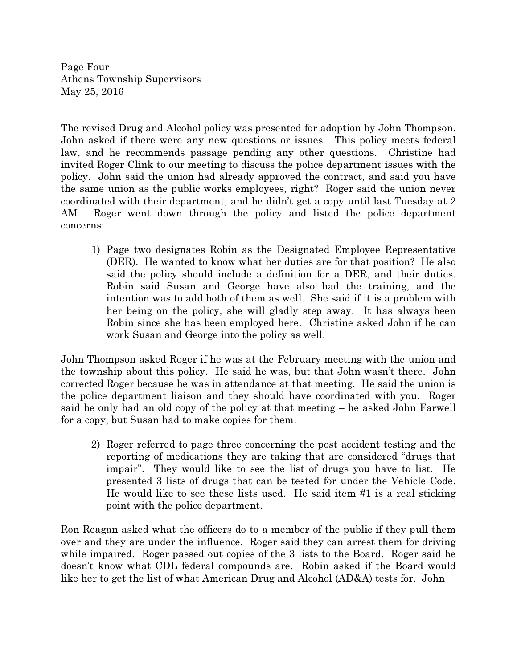Page Four Athens Township Supervisors May 25, 2016

The revised Drug and Alcohol policy was presented for adoption by John Thompson. John asked if there were any new questions or issues. This policy meets federal law, and he recommends passage pending any other questions. Christine had invited Roger Clink to our meeting to discuss the police department issues with the policy. John said the union had already approved the contract, and said you have the same union as the public works employees, right? Roger said the union never coordinated with their department, and he didn't get a copy until last Tuesday at 2 AM. Roger went down through the policy and listed the police department concerns:

1) Page two designates Robin as the Designated Employee Representative (DER). He wanted to know what her duties are for that position? He also said the policy should include a definition for a DER, and their duties. Robin said Susan and George have also had the training, and the intention was to add both of them as well. She said if it is a problem with her being on the policy, she will gladly step away. It has always been Robin since she has been employed here. Christine asked John if he can work Susan and George into the policy as well.

John Thompson asked Roger if he was at the February meeting with the union and the township about this policy. He said he was, but that John wasn't there. John corrected Roger because he was in attendance at that meeting. He said the union is the police department liaison and they should have coordinated with you. Roger said he only had an old copy of the policy at that meeting – he asked John Farwell for a copy, but Susan had to make copies for them.

2) Roger referred to page three concerning the post accident testing and the reporting of medications they are taking that are considered "drugs that impair". They would like to see the list of drugs you have to list. He presented 3 lists of drugs that can be tested for under the Vehicle Code. He would like to see these lists used. He said item #1 is a real sticking point with the police department.

Ron Reagan asked what the officers do to a member of the public if they pull them over and they are under the influence. Roger said they can arrest them for driving while impaired. Roger passed out copies of the 3 lists to the Board. Roger said he doesn't know what CDL federal compounds are. Robin asked if the Board would like her to get the list of what American Drug and Alcohol (AD&A) tests for. John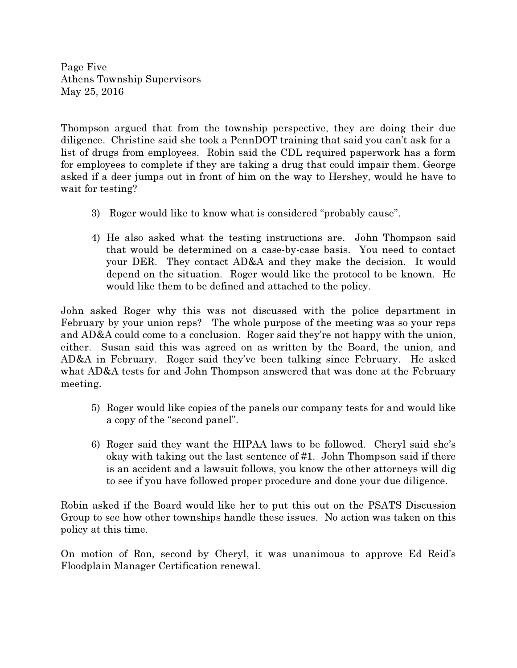Page Five Athens Township Supervisors May 25, 2016

Thompson argued that from the township perspective, they are doing their due diligence. Christine said she took a PennDOT training that said you can't ask for a list of drugs from employees. Robin said the CDL required paperwork has a form for employees to complete if they are taking a drug that could impair them. George asked if a deer jumps out in front of him on the way to Hershey, would he have to wait for testing?

- 3) Roger would like to know what is considered "probably cause".
- 4) He also asked what the testing instructions are. John Thompson said that would be determined on a case-by-case basis. You need to contact your DER. They contact AD&A and they make the decision. It would depend on the situation. Roger would like the protocol to be known. He would like them to be defined and attached to the policy.

John asked Roger why this was not discussed with the police department in February by your union reps? The whole purpose of the meeting was so your reps and AD&A could come to a conclusion. Roger said they're not happy with the union, either. Susan said this was agreed on as written by the Board, the union, and AD&A in February. Roger said they've been talking since February. He asked what AD&A tests for and John Thompson answered that was done at the February meeting.

- 5) Roger would like copies of the panels our company tests for and would like a copy of the "second panel".
- 6) Roger said they want the HIPAA laws to be followed. Cheryl said she's okay with taking out the last sentence of #1. John Thompson said if there is an accident and a lawsuit follows, you know the other attorneys will dig to see if you have followed proper procedure and done your due diligence.

Robin asked if the Board would like her to put this out on the PSATS Discussion Group to see how other townships handle these issues. No action was taken on this policy at this time.

On motion of Ron, second by Cheryl, it was unanimous to approve Ed Reid's Floodplain Manager Certification renewal.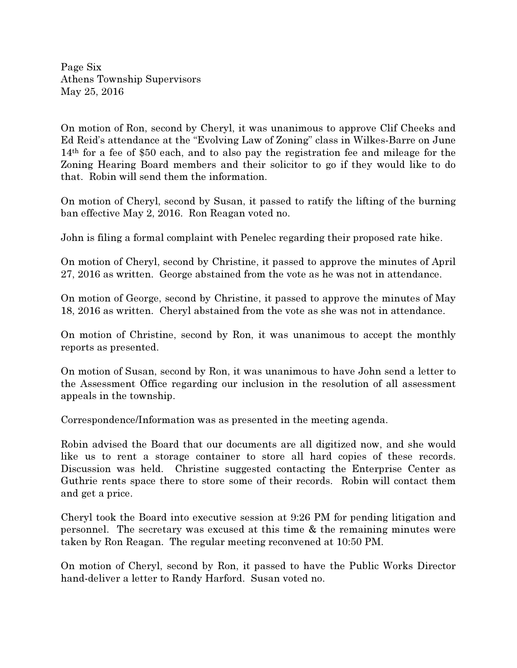Page Six Athens Township Supervisors May 25, 2016

On motion of Ron, second by Cheryl, it was unanimous to approve Clif Cheeks and Ed Reid's attendance at the "Evolving Law of Zoning" class in Wilkes-Barre on June 14th for a fee of \$50 each, and to also pay the registration fee and mileage for the Zoning Hearing Board members and their solicitor to go if they would like to do that. Robin will send them the information.

On motion of Cheryl, second by Susan, it passed to ratify the lifting of the burning ban effective May 2, 2016. Ron Reagan voted no.

John is filing a formal complaint with Penelec regarding their proposed rate hike.

On motion of Cheryl, second by Christine, it passed to approve the minutes of April 27, 2016 as written. George abstained from the vote as he was not in attendance.

On motion of George, second by Christine, it passed to approve the minutes of May 18, 2016 as written. Cheryl abstained from the vote as she was not in attendance.

On motion of Christine, second by Ron, it was unanimous to accept the monthly reports as presented.

On motion of Susan, second by Ron, it was unanimous to have John send a letter to the Assessment Office regarding our inclusion in the resolution of all assessment appeals in the township.

Correspondence/Information was as presented in the meeting agenda.

Robin advised the Board that our documents are all digitized now, and she would like us to rent a storage container to store all hard copies of these records. Discussion was held. Christine suggested contacting the Enterprise Center as Guthrie rents space there to store some of their records. Robin will contact them and get a price.

Cheryl took the Board into executive session at 9:26 PM for pending litigation and personnel. The secretary was excused at this time & the remaining minutes were taken by Ron Reagan. The regular meeting reconvened at 10:50 PM.

On motion of Cheryl, second by Ron, it passed to have the Public Works Director hand-deliver a letter to Randy Harford. Susan voted no.